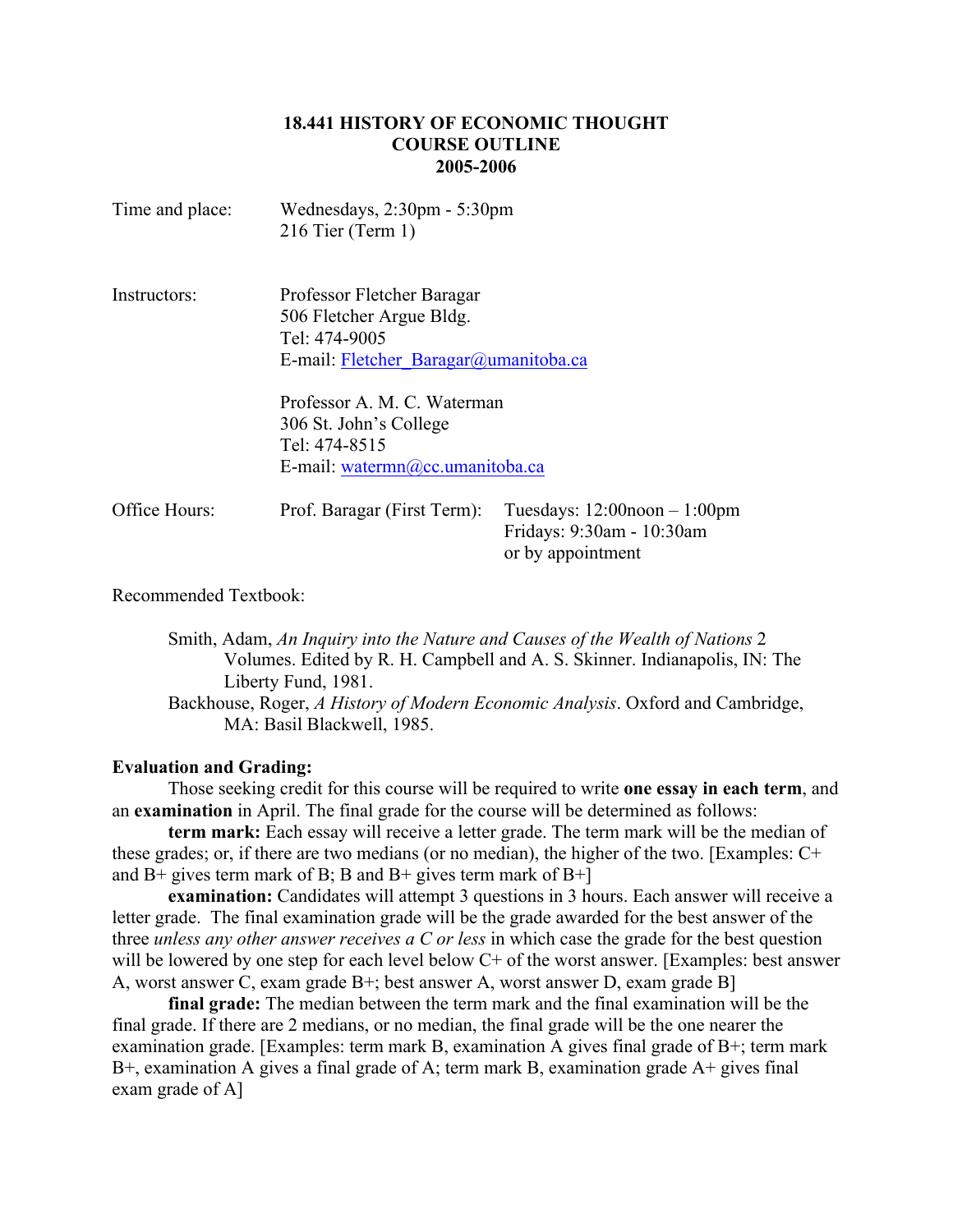## **18.441 HISTORY OF ECONOMIC THOUGHT COURSE OUTLINE 2005-2006**

| Time and place: | Wednesdays, $2:30 \text{pm} - 5:30 \text{pm}$<br>$216$ Tier (Term 1)                                             |                                                                                     |
|-----------------|------------------------------------------------------------------------------------------------------------------|-------------------------------------------------------------------------------------|
| Instructors:    | Professor Fletcher Baragar<br>506 Fletcher Argue Bldg.<br>Tel: 474-9005<br>E-mail: Fletcher Baragar@umanitoba.ca |                                                                                     |
|                 | Professor A. M. C. Waterman<br>306 St. John's College<br>Tel: 474-8515<br>E-mail: watermn@cc.umanitoba.ca        |                                                                                     |
| Office Hours:   | Prof. Baragar (First Term):                                                                                      | Tuesdays: $12:00$ noon $-1:00$ pm<br>Fridays: 9:30am - 10:30am<br>or by appointment |

Recommended Textbook:

Smith, Adam, *An Inquiry into the Nature and Causes of the Wealth of Nations* 2 Volumes. Edited by R. H. Campbell and A. S. Skinner. Indianapolis, IN: The Liberty Fund, 1981.

Backhouse, Roger, *A History of Modern Economic Analysis*. Oxford and Cambridge, MA: Basil Blackwell, 1985.

#### **Evaluation and Grading:**

Those seeking credit for this course will be required to write **one essay in each term**, and an **examination** in April. The final grade for the course will be determined as follows:

**term mark:** Each essay will receive a letter grade. The term mark will be the median of these grades; or, if there are two medians (or no median), the higher of the two. [Examples: C+ and  $B$ + gives term mark of B; B and  $B$ + gives term mark of  $B$ +]

**examination:** Candidates will attempt 3 questions in 3 hours. Each answer will receive a letter grade. The final examination grade will be the grade awarded for the best answer of the three *unless any other answer receives a C or less* in which case the grade for the best question will be lowered by one step for each level below C+ of the worst answer. [Examples: best answer A, worst answer C, exam grade B+; best answer A, worst answer D, exam grade B]

**final grade:** The median between the term mark and the final examination will be the final grade. If there are 2 medians, or no median, the final grade will be the one nearer the examination grade. [Examples: term mark B, examination A gives final grade of B+; term mark B+, examination A gives a final grade of A; term mark B, examination grade A+ gives final exam grade of A]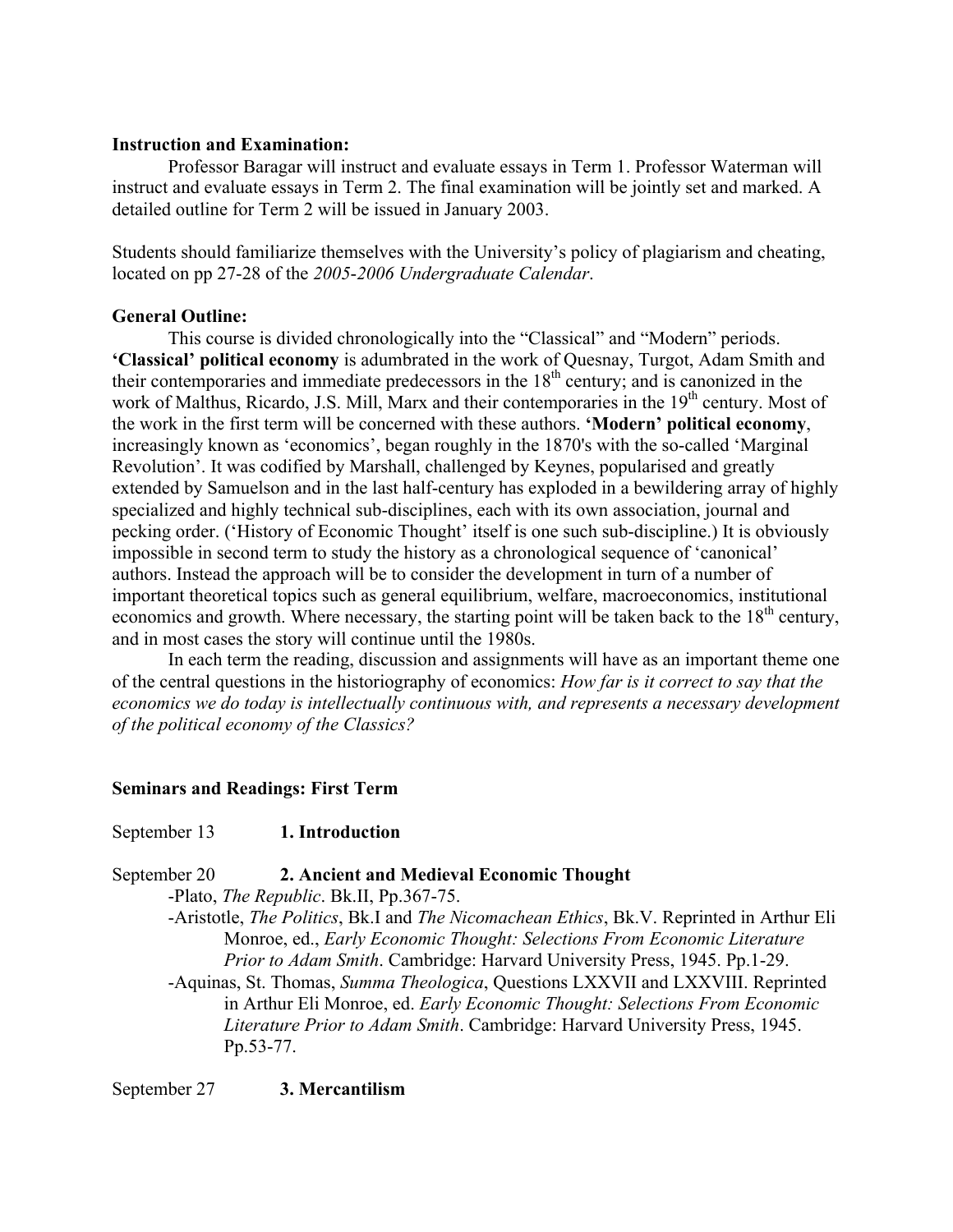# **Instruction and Examination:**

Professor Baragar will instruct and evaluate essays in Term 1. Professor Waterman will instruct and evaluate essays in Term 2. The final examination will be jointly set and marked. A detailed outline for Term 2 will be issued in January 2003.

Students should familiarize themselves with the University's policy of plagiarism and cheating, located on pp 27-28 of the *2005*-*2006 Undergraduate Calendar*.

### **General Outline:**

This course is divided chronologically into the "Classical" and "Modern" periods. **'Classical' political economy** is adumbrated in the work of Quesnay, Turgot, Adam Smith and their contemporaries and immediate predecessors in the  $18<sup>th</sup>$  century; and is canonized in the work of Malthus, Ricardo, J.S. Mill, Marx and their contemporaries in the 19<sup>th</sup> century. Most of the work in the first term will be concerned with these authors. **'Modern' political economy**, increasingly known as 'economics', began roughly in the 1870's with the so-called 'Marginal Revolution'. It was codified by Marshall, challenged by Keynes, popularised and greatly extended by Samuelson and in the last half-century has exploded in a bewildering array of highly specialized and highly technical sub-disciplines, each with its own association, journal and pecking order. ('History of Economic Thought' itself is one such sub-discipline.) It is obviously impossible in second term to study the history as a chronological sequence of 'canonical' authors. Instead the approach will be to consider the development in turn of a number of important theoretical topics such as general equilibrium, welfare, macroeconomics, institutional economics and growth. Where necessary, the starting point will be taken back to the 18<sup>th</sup> century, and in most cases the story will continue until the 1980s.

In each term the reading, discussion and assignments will have as an important theme one of the central questions in the historiography of economics: *How far is it correct to say that the economics we do today is intellectually continuous with, and represents a necessary development of the political economy of the Classics?*

# **Seminars and Readings: First Term**

# September 13 **1. Introduction**

September 20 **2. Ancient and Medieval Economic Thought**

-Plato, *The Republic*. Bk.II, Pp.367-75.

-Aristotle, *The Politics*, Bk.I and *The Nicomachean Ethics*, Bk.V. Reprinted in Arthur Eli Monroe, ed., *Early Economic Thought: Selections From Economic Literature Prior to Adam Smith*. Cambridge: Harvard University Press, 1945. Pp.1-29.

-Aquinas, St. Thomas, *Summa Theologica*, Questions LXXVII and LXXVIII. Reprinted in Arthur Eli Monroe, ed. *Early Economic Thought: Selections From Economic Literature Prior to Adam Smith*. Cambridge: Harvard University Press, 1945. Pp.53-77.

September 27 **3. Mercantilism**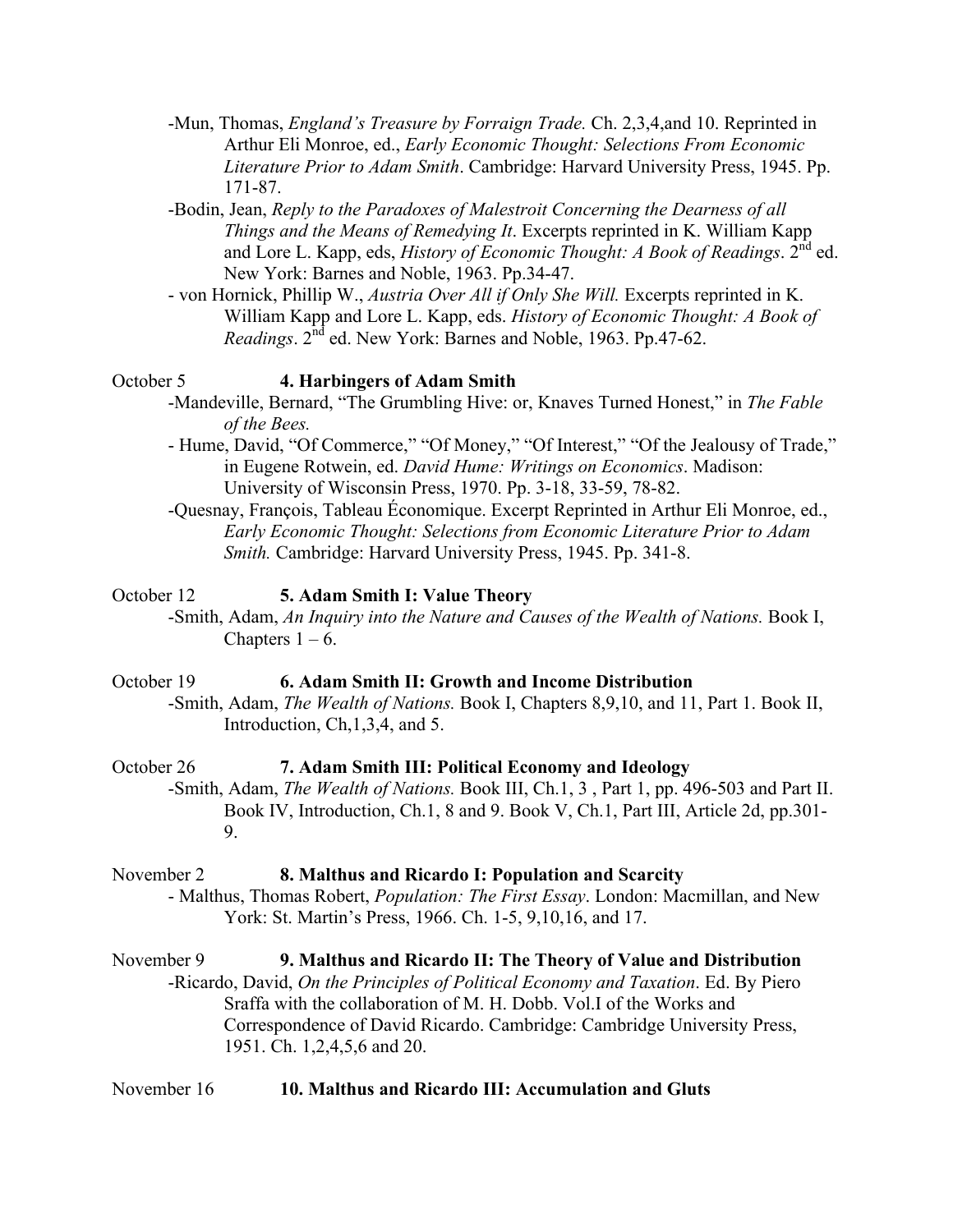- -Mun, Thomas, *England's Treasure by Forraign Trade.* Ch. 2,3,4,and 10. Reprinted in Arthur Eli Monroe, ed., *Early Economic Thought: Selections From Economic Literature Prior to Adam Smith*. Cambridge: Harvard University Press, 1945. Pp. 171-87.
- -Bodin, Jean, *Reply to the Paradoxes of Malestroit Concerning the Dearness of all Things and the Means of Remedying It*. Excerpts reprinted in K. William Kapp and Lore L. Kapp, eds, *History of Economic Thought: A Book of Readings*. 2<sup>nd</sup> ed. New York: Barnes and Noble, 1963. Pp.34-47.
- von Hornick, Phillip W., *Austria Over All if Only She Will.* Excerpts reprinted in K. William Kapp and Lore L. Kapp, eds. *History of Economic Thought: A Book of Readings*. 2nd ed. New York: Barnes and Noble, 1963. Pp.47-62.

#### October 5 **4. Harbingers of Adam Smith**

- -Mandeville, Bernard, "The Grumbling Hive: or, Knaves Turned Honest," in *The Fable of the Bees.*
- Hume, David, "Of Commerce," "Of Money," "Of Interest," "Of the Jealousy of Trade," in Eugene Rotwein, ed. *David Hume: Writings on Economics*. Madison: University of Wisconsin Press, 1970. Pp. 3-18, 33-59, 78-82.
- -Quesnay, François, Tableau Économique. Excerpt Reprinted in Arthur Eli Monroe, ed., *Early Economic Thought: Selections from Economic Literature Prior to Adam Smith.* Cambridge: Harvard University Press, 1945. Pp. 341-8.

#### October 12 **5. Adam Smith I: Value Theory**

-Smith, Adam, *An Inquiry into the Nature and Causes of the Wealth of Nations.* Book I, Chapters  $1 - 6$ .

#### October 19 **6. Adam Smith II: Growth and Income Distribution**

-Smith, Adam, *The Wealth of Nations.* Book I, Chapters 8,9,10, and 11, Part 1. Book II, Introduction, Ch,1,3,4, and 5.

# October 26 **7. Adam Smith III: Political Economy and Ideology**

-Smith, Adam, *The Wealth of Nations.* Book III, Ch.1, 3 , Part 1, pp. 496-503 and Part II. Book IV, Introduction, Ch.1, 8 and 9. Book V, Ch.1, Part III, Article 2d, pp.301- 9.

#### November 2 **8. Malthus and Ricardo I: Population and Scarcity**

- Malthus, Thomas Robert, *Population: The First Essay*. London: Macmillan, and New York: St. Martin's Press, 1966. Ch. 1-5, 9,10,16, and 17.

# November 9 **9. Malthus and Ricardo II: The Theory of Value and Distribution**

-Ricardo, David, *On the Principles of Political Economy and Taxation*. Ed. By Piero Sraffa with the collaboration of M. H. Dobb. Vol.I of the Works and Correspondence of David Ricardo. Cambridge: Cambridge University Press, 1951. Ch. 1,2,4,5,6 and 20.

November 16 **10. Malthus and Ricardo III: Accumulation and Gluts**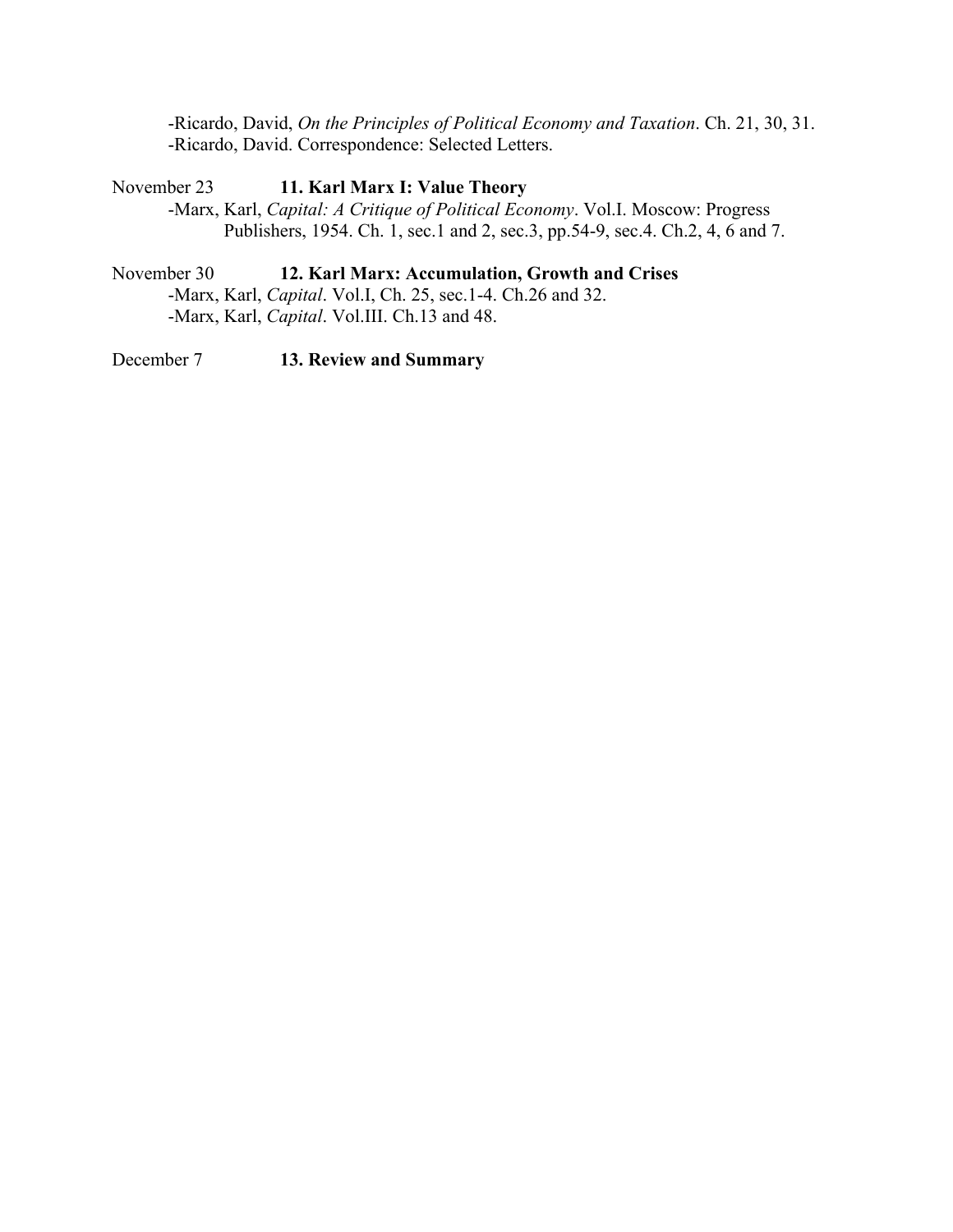-Ricardo, David, *On the Principles of Political Economy and Taxation*. Ch. 21, 30, 31. -Ricardo, David. Correspondence: Selected Letters.

# November 23 **11. Karl Marx I: Value Theory**

-Marx, Karl, *Capital: A Critique of Political Economy*. Vol.I. Moscow: Progress Publishers, 1954. Ch. 1, sec.1 and 2, sec.3, pp.54-9, sec.4. Ch.2, 4, 6 and 7.

## November 30 **12. Karl Marx: Accumulation, Growth and Crises**

-Marx, Karl, *Capital*. Vol.I, Ch. 25, sec.1-4. Ch.26 and 32. -Marx, Karl, *Capital*. Vol.III. Ch.13 and 48.

December 7 **13. Review and Summary**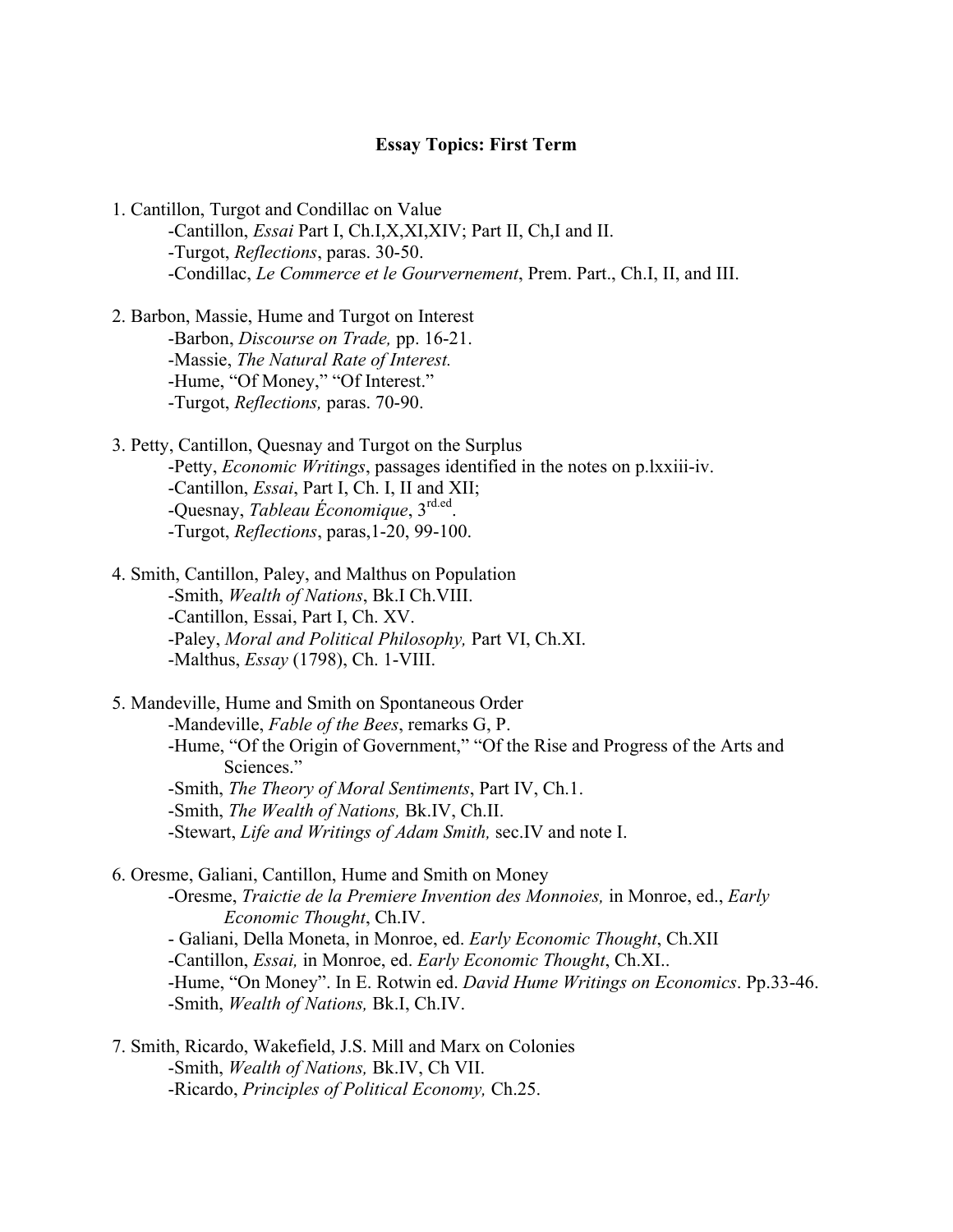#### **Essay Topics: First Term**

- 1. Cantillon, Turgot and Condillac on Value -Cantillon, *Essai* Part I, Ch.I,X,XI,XIV; Part II, Ch,I and II. -Turgot, *Reflections*, paras. 30-50. -Condillac, *Le Commerce et le Gourvernement*, Prem. Part., Ch.I, II, and III.
- 2. Barbon, Massie, Hume and Turgot on Interest -Barbon, *Discourse on Trade,* pp. 16-21. -Massie, *The Natural Rate of Interest.* -Hume, "Of Money," "Of Interest." -Turgot, *Reflections,* paras. 70-90.
- 3. Petty, Cantillon, Quesnay and Turgot on the Surplus -Petty, *Economic Writings*, passages identified in the notes on p.lxxiii-iv. -Cantillon, *Essai*, Part I, Ch. I, II and XII; -Quesnay, *Tableau Économique*, 3rd.ed. -Turgot, *Reflections*, paras,1-20, 99-100.
- 4. Smith, Cantillon, Paley, and Malthus on Population -Smith, *Wealth of Nations*, Bk.I Ch.VIII. -Cantillon, Essai, Part I, Ch. XV. -Paley, *Moral and Political Philosophy,* Part VI, Ch.XI. -Malthus, *Essay* (1798), Ch. 1-VIII.

5. Mandeville, Hume and Smith on Spontaneous Order -Mandeville, *Fable of the Bees*, remarks G, P. -Hume, "Of the Origin of Government," "Of the Rise and Progress of the Arts and Sciences." -Smith, *The Theory of Moral Sentiments*, Part IV, Ch.1. -Smith, *The Wealth of Nations,* Bk.IV, Ch.II. -Stewart, *Life and Writings of Adam Smith,* sec.IV and note I.

6. Oresme, Galiani, Cantillon, Hume and Smith on Money -Oresme, *Traictie de la Premiere Invention des Monnoies,* in Monroe, ed., *Early Economic Thought*, Ch.IV. - Galiani, Della Moneta, in Monroe, ed. *Early Economic Thought*, Ch.XII -Cantillon, *Essai,* in Monroe, ed. *Early Economic Thought*, Ch.XI.. -Hume, "On Money". In E. Rotwin ed. *David Hume Writings on Economics*. Pp.33-46. -Smith, *Wealth of Nations,* Bk.I, Ch.IV.

7. Smith, Ricardo, Wakefield, J.S. Mill and Marx on Colonies -Smith, *Wealth of Nations,* Bk.IV, Ch VII. -Ricardo, *Principles of Political Economy,* Ch.25.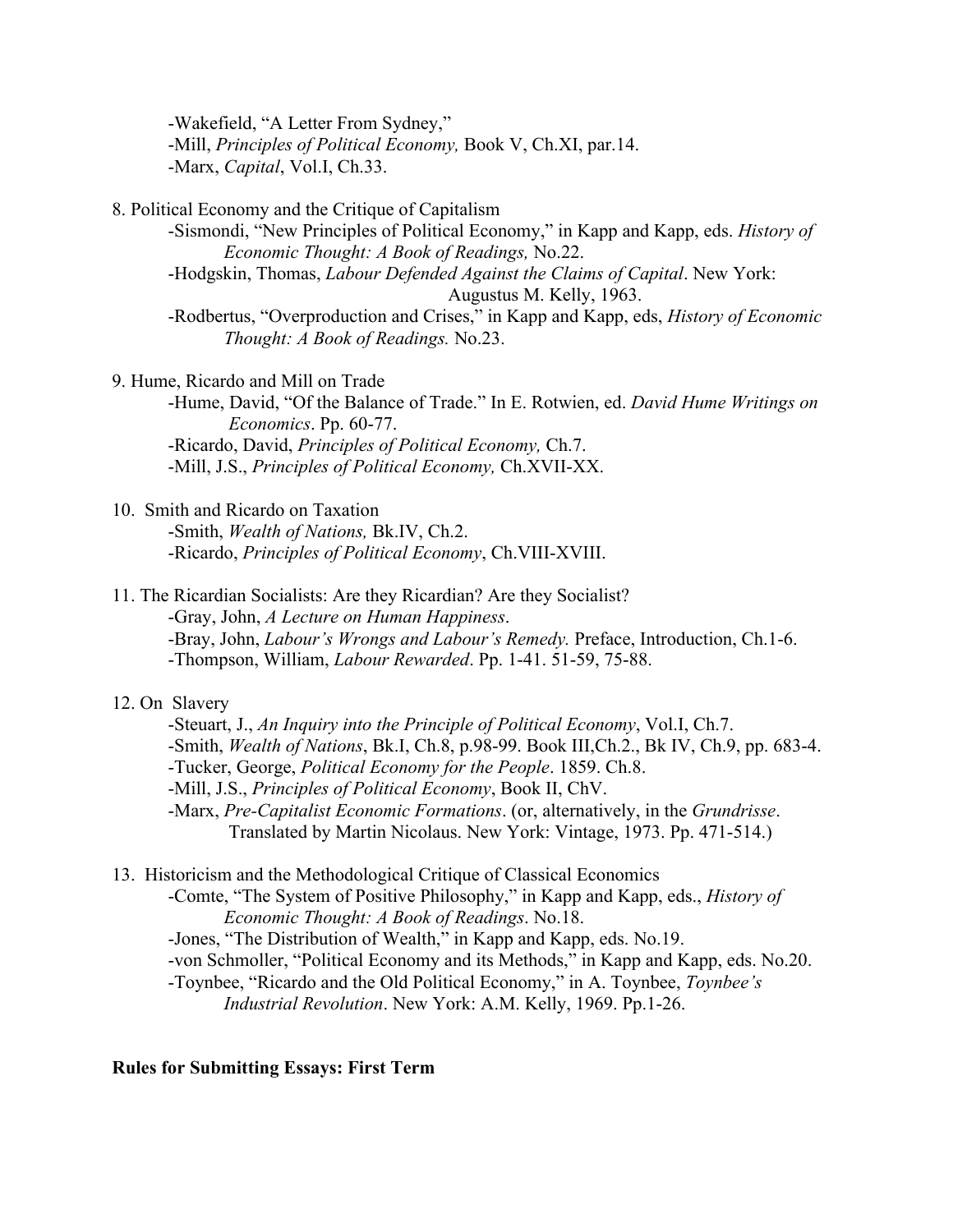-Wakefield, "A Letter From Sydney," -Mill, *Principles of Political Economy,* Book V, Ch.XI, par.14. -Marx, *Capital*, Vol.I, Ch.33.

8. Political Economy and the Critique of Capitalism

-Sismondi, "New Principles of Political Economy," in Kapp and Kapp, eds. *History of Economic Thought: A Book of Readings,* No.22.

-Hodgskin, Thomas, *Labour Defended Against the Claims of Capital*. New York:

Augustus M. Kelly, 1963.

-Rodbertus, "Overproduction and Crises," in Kapp and Kapp, eds, *History of Economic Thought: A Book of Readings.* No.23.

9. Hume, Ricardo and Mill on Trade

-Hume, David, "Of the Balance of Trade." In E. Rotwien, ed. *David Hume Writings on Economics*. Pp. 60-77. -Ricardo, David, *Principles of Political Economy,* Ch.7.

-Mill, J.S., *Principles of Political Economy,* Ch.XVII-XX.

### 10. Smith and Ricardo on Taxation

-Smith, *Wealth of Nations,* Bk.IV, Ch.2. -Ricardo, *Principles of Political Economy*, Ch.VIII-XVIII.

11. The Ricardian Socialists: Are they Ricardian? Are they Socialist?

-Gray, John, *A Lecture on Human Happiness*.

-Bray, John, *Labour's Wrongs and Labour's Remedy.* Preface, Introduction, Ch.1-6. -Thompson, William, *Labour Rewarded*. Pp. 1-41. 51-59, 75-88.

# 12. On Slavery

-Steuart, J., *An Inquiry into the Principle of Political Economy*, Vol.I, Ch.7. -Smith, *Wealth of Nations*, Bk.I, Ch.8, p.98-99. Book III,Ch.2., Bk IV, Ch.9, pp. 683-4. -Tucker, George, *Political Economy for the People*. 1859. Ch.8. -Mill, J.S., *Principles of Political Economy*, Book II, ChV. -Marx, *Pre-Capitalist Economic Formations*. (or, alternatively, in the *Grundrisse*. Translated by Martin Nicolaus. New York: Vintage, 1973. Pp. 471-514.)

13. Historicism and the Methodological Critique of Classical Economics

-Comte, "The System of Positive Philosophy," in Kapp and Kapp, eds., *History of Economic Thought: A Book of Readings*. No.18.

-Jones, "The Distribution of Wealth," in Kapp and Kapp, eds. No.19.

-von Schmoller, "Political Economy and its Methods," in Kapp and Kapp, eds. No.20.

-Toynbee, "Ricardo and the Old Political Economy," in A. Toynbee, *Toynbee's Industrial Revolution*. New York: A.M. Kelly, 1969. Pp.1-26.

### **Rules for Submitting Essays: First Term**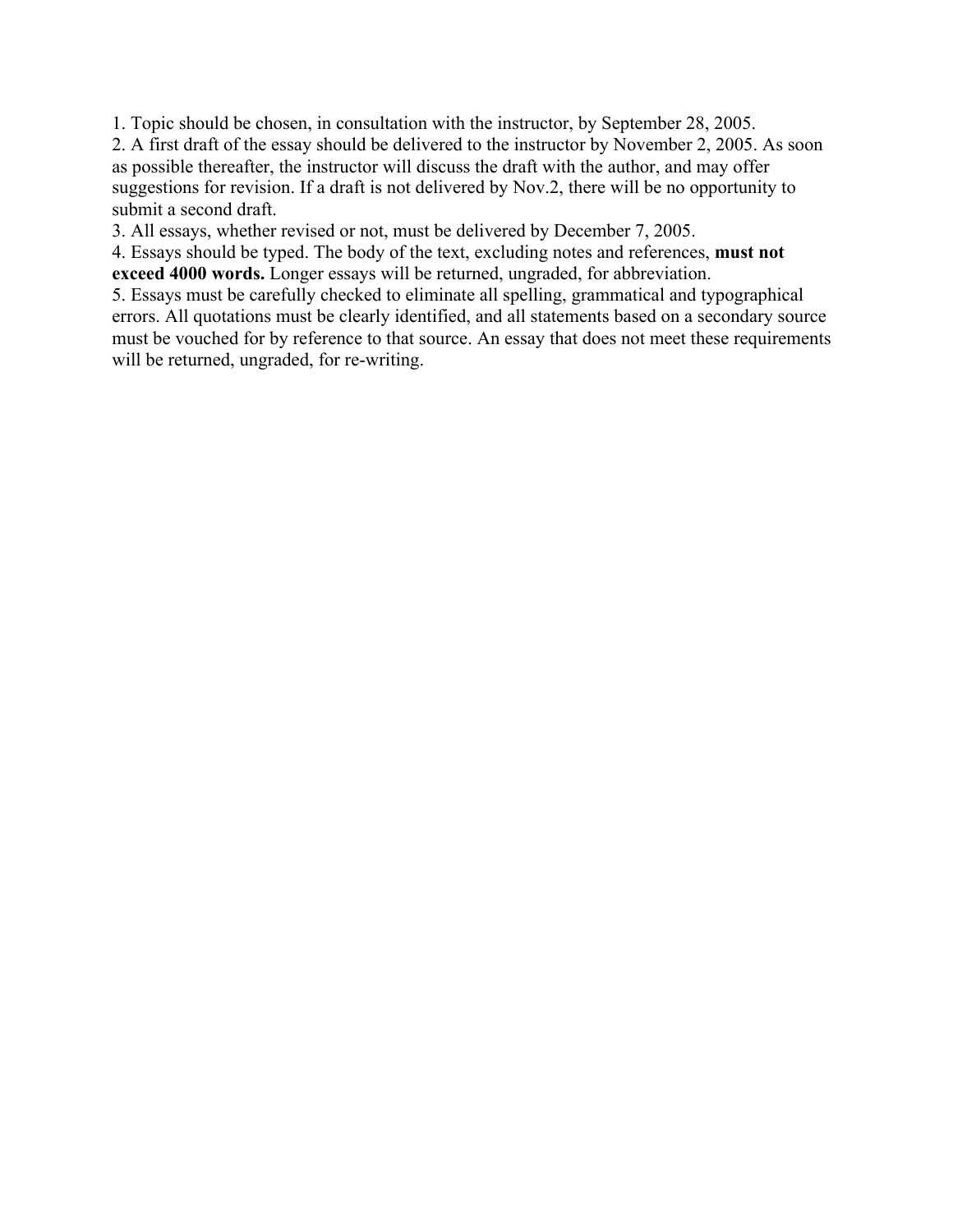1. Topic should be chosen, in consultation with the instructor, by September 28, 2005.

2. A first draft of the essay should be delivered to the instructor by November 2, 2005. As soon as possible thereafter, the instructor will discuss the draft with the author, and may offer suggestions for revision. If a draft is not delivered by Nov.2, there will be no opportunity to submit a second draft.

3. All essays, whether revised or not, must be delivered by December 7, 2005.

4. Essays should be typed. The body of the text, excluding notes and references, **must not exceed 4000 words.** Longer essays will be returned, ungraded, for abbreviation.

5. Essays must be carefully checked to eliminate all spelling, grammatical and typographical errors. All quotations must be clearly identified, and all statements based on a secondary source must be vouched for by reference to that source. An essay that does not meet these requirements will be returned, ungraded, for re-writing.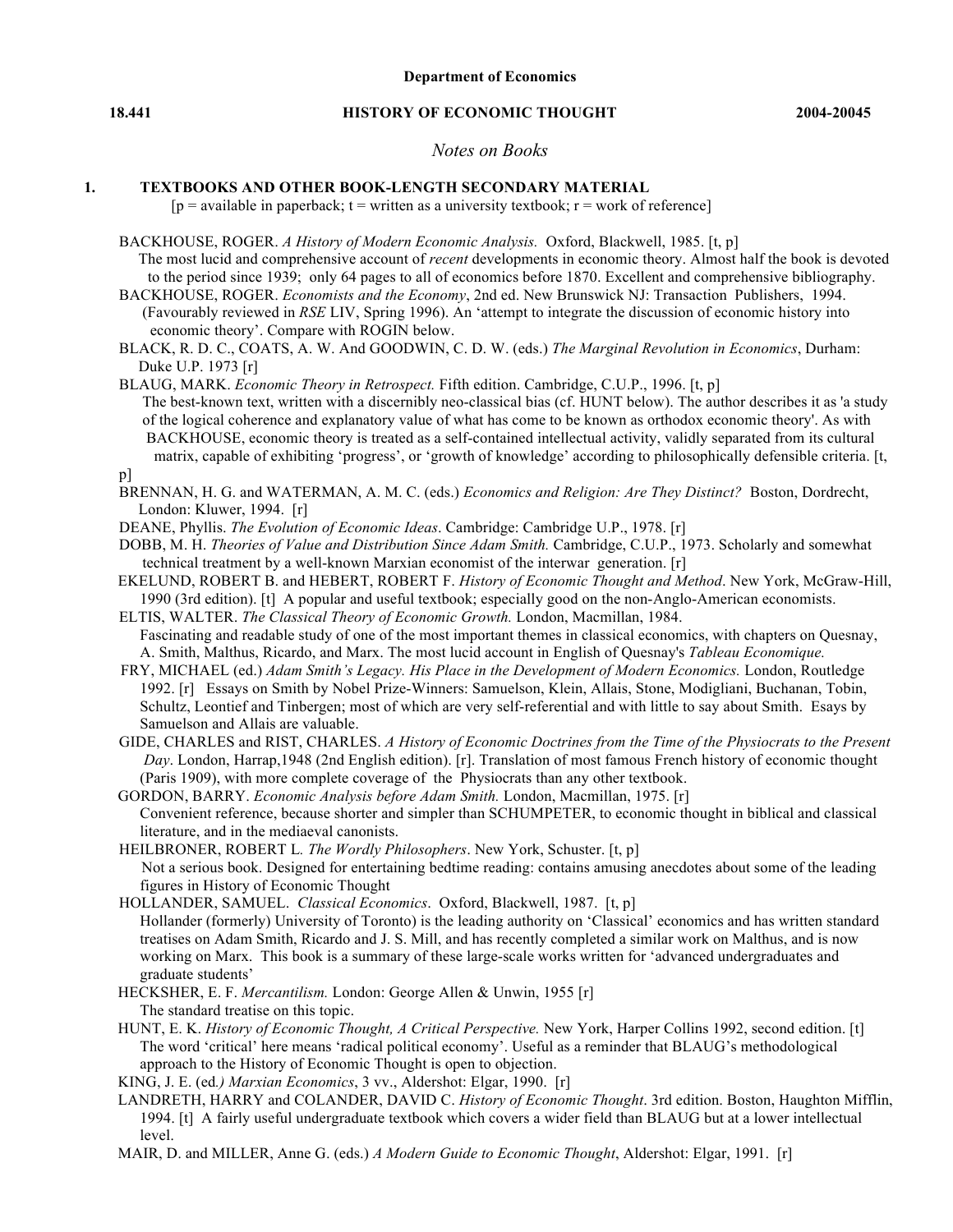#### **18.441 HISTORY OF ECONOMIC THOUGHT 2004-20045**

#### *Notes on Books*

#### **1. TEXTBOOKS AND OTHER BOOK-LENGTH SECONDARY MATERIAL**

 $[p = \text{available in paperback; } t = \text{written as a university textbook; } r = \text{work of reference}]$ 

- BACKHOUSE, ROGER. *A History of Modern Economic Analysis.* Oxford, Blackwell, 1985. [t, p] The most lucid and comprehensive account of *recent* developments in economic theory. Almost half the book is devoted to the period since 1939; only 64 pages to all of economics before 1870. Excellent and comprehensive bibliography.
- BACKHOUSE, ROGER. *Economists and the Economy*, 2nd ed. New Brunswick NJ: Transaction Publishers, 1994. (Favourably reviewed in *RSE* LIV, Spring 1996). An 'attempt to integrate the discussion of economic history into economic theory'. Compare with ROGIN below.
- BLACK, R. D. C., COATS, A. W. And GOODWIN, C. D. W. (eds.) *The Marginal Revolution in Economics*, Durham: Duke U.P. 1973 [r]

BLAUG, MARK. *Economic Theory in Retrospect.* Fifth edition. Cambridge, C.U.P., 1996. [t, p] The best-known text, written with a discernibly neo-classical bias (cf. HUNT below). The author describes it as 'a study of the logical coherence and explanatory value of what has come to be known as orthodox economic theory'. As with BACKHOUSE, economic theory is treated as a self-contained intellectual activity, validly separated from its cultural matrix, capable of exhibiting 'progress', or 'growth of knowledge' according to philosophically defensible criteria. [t,

p]

- BRENNAN, H. G. and WATERMAN, A. M. C. (eds.) *Economics and Religion: Are They Distinct?* Boston, Dordrecht, London: Kluwer, 1994. [r]
- DEANE, Phyllis. *The Evolution of Economic Ideas*. Cambridge: Cambridge U.P., 1978. [r]
- DOBB, M. H. *Theories of Value and Distribution Since Adam Smith.* Cambridge, C.U.P., 1973. Scholarly and somewhat technical treatment by a well-known Marxian economist of the interwar generation. [r]
- EKELUND, ROBERT B. and HEBERT, ROBERT F. *History of Economic Thought and Method*. New York, McGraw-Hill, 1990 (3rd edition). [t] A popular and useful textbook; especially good on the non-Anglo-American economists.
- ELTIS, WALTER. *The Classical Theory of Economic Growth.* London, Macmillan, 1984. Fascinating and readable study of one of the most important themes in classical economics, with chapters on Quesnay, A. Smith, Malthus, Ricardo, and Marx. The most lucid account in English of Quesnay's *Tableau Economique.*
- FRY, MICHAEL (ed.) *Adam Smith's Legacy. His Place in the Development of Modern Economics.* London, Routledge 1992. [r] Essays on Smith by Nobel Prize-Winners: Samuelson, Klein, Allais, Stone, Modigliani, Buchanan, Tobin, Schultz, Leontief and Tinbergen; most of which are very self-referential and with little to say about Smith. Esays by Samuelson and Allais are valuable.
- GIDE, CHARLES and RIST, CHARLES. *A History of Economic Doctrines from the Time of the Physiocrats to the Present Day*. London, Harrap,1948 (2nd English edition). [r]. Translation of most famous French history of economic thought (Paris 1909), with more complete coverage of the Physiocrats than any other textbook.

GORDON, BARRY. *Economic Analysis before Adam Smith.* London, Macmillan, 1975. [r] Convenient reference, because shorter and simpler than SCHUMPETER, to economic thought in biblical and classical literature, and in the mediaeval canonists.

- HEILBRONER, ROBERT L*. The Wordly Philosophers*. New York, Schuster. [t, p] Not a serious book. Designed for entertaining bedtime reading: contains amusing anecdotes about some of the leading figures in History of Economic Thought
- HOLLANDER, SAMUEL. *Classical Economics*. Oxford, Blackwell, 1987. [t, p] Hollander (formerly) University of Toronto) is the leading authority on 'Classical' economics and has written standard treatises on Adam Smith, Ricardo and J. S. Mill, and has recently completed a similar work on Malthus, and is now working on Marx. This book is a summary of these large-scale works written for 'advanced undergraduates and graduate students'
- HECKSHER, E. F. *Mercantilism.* London: George Allen & Unwin, 1955 [r] The standard treatise on this topic.
- HUNT, E. K. *History of Economic Thought, A Critical Perspective.* New York, Harper Collins 1992, second edition. [t] The word 'critical' here means 'radical political economy'. Useful as a reminder that BLAUG's methodological approach to the History of Economic Thought is open to objection.

KING, J. E. (ed*.) Marxian Economics*, 3 vv., Aldershot: Elgar, 1990. [r]

- LANDRETH, HARRY and COLANDER, DAVID C. *History of Economic Thought*. 3rd edition. Boston, Haughton Mifflin, 1994. [t] A fairly useful undergraduate textbook which covers a wider field than BLAUG but at a lower intellectual level.
- MAIR, D. and MILLER, Anne G. (eds.) *A Modern Guide to Economic Thought*, Aldershot: Elgar, 1991. [r]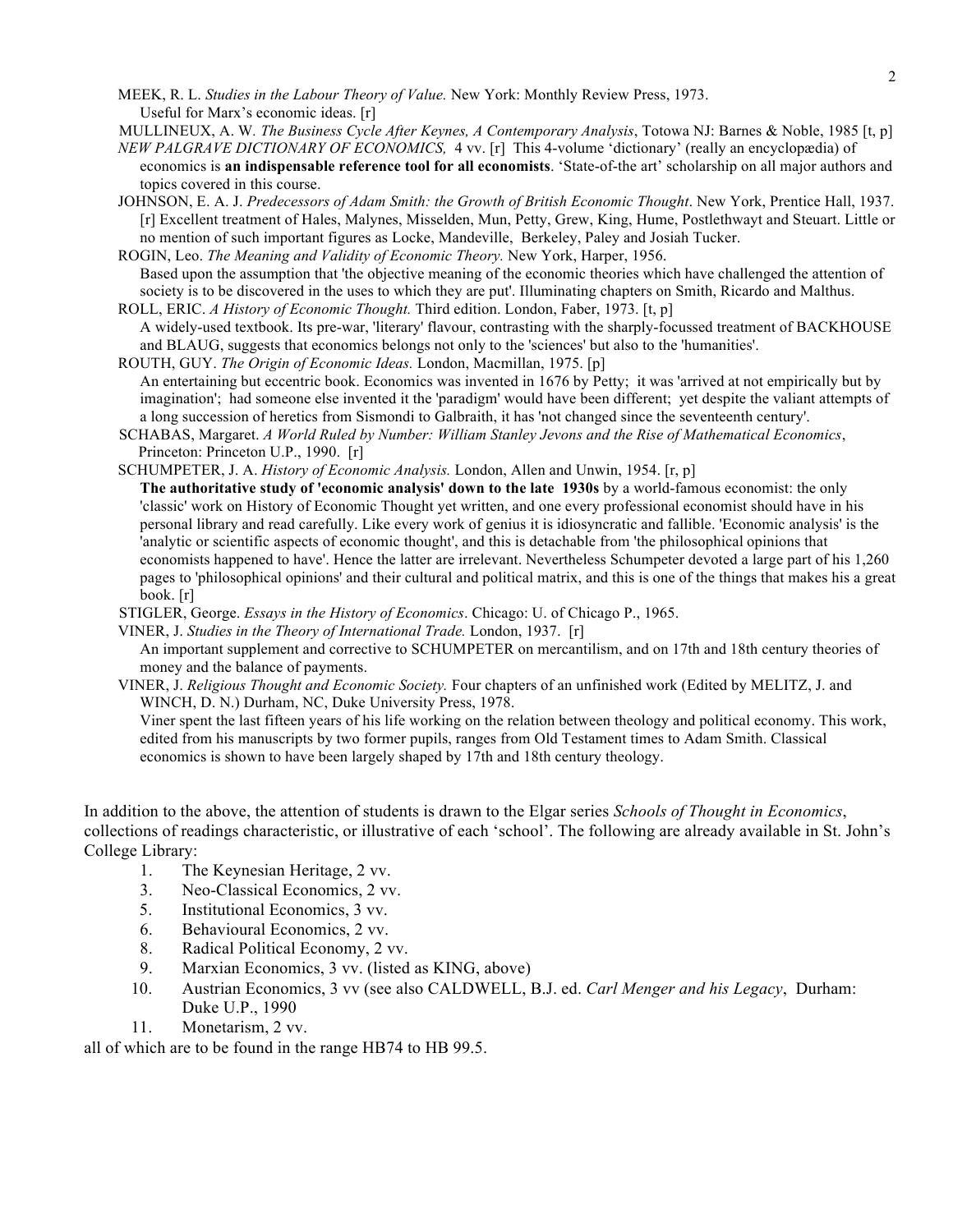MEEK, R. L. *Studies in the Labour Theory of Value.* New York: Monthly Review Press, 1973. Useful for Marx's economic ideas. [r]

- MULLINEUX, A. W*. The Business Cycle After Keynes, A Contemporary Analysis*, Totowa NJ: Barnes & Noble, 1985 [t, p] *NEW PALGRAVE DICTIONARY OF ECONOMICS,* 4 vv. [r] This 4-volume 'dictionary' (really an encyclopædia) of
- economics is **an indispensable reference tool for all economists**. 'State-of-the art' scholarship on all major authors and topics covered in this course.
- JOHNSON, E. A. J. *Predecessors of Adam Smith: the Growth of British Economic Thought*. New York, Prentice Hall, 1937. [r] Excellent treatment of Hales, Malynes, Misselden, Mun, Petty, Grew, King, Hume, Postlethwayt and Steuart. Little or no mention of such important figures as Locke, Mandeville, Berkeley, Paley and Josiah Tucker.

ROGIN, Leo. *The Meaning and Validity of Economic Theory.* New York, Harper, 1956. Based upon the assumption that 'the objective meaning of the economic theories which have challenged the attention of society is to be discovered in the uses to which they are put'. Illuminating chapters on Smith, Ricardo and Malthus.

- ROLL, ERIC. *A History of Economic Thought.* Third edition. London, Faber, 1973. [t, p] A widely-used textbook. Its pre-war, 'literary' flavour, contrasting with the sharply-focussed treatment of BACKHOUSE and BLAUG, suggests that economics belongs not only to the 'sciences' but also to the 'humanities'.
- ROUTH, GUY. *The Origin of Economic Ideas.* London, Macmillan, 1975. [p] An entertaining but eccentric book. Economics was invented in 1676 by Petty; it was 'arrived at not empirically but by imagination'; had someone else invented it the 'paradigm' would have been different; yet despite the valiant attempts of a long succession of heretics from Sismondi to Galbraith, it has 'not changed since the seventeenth century'.
- SCHABAS, Margaret. *A World Ruled by Number: William Stanley Jevons and the Rise of Mathematical Economics*, Princeton: Princeton U.P., 1990. [r]
- SCHUMPETER, J. A. *History of Economic Analysis.* London, Allen and Unwin, 1954. [r, p]

**The authoritative study of 'economic analysis' down to the late 1930s** by a world-famous economist: the only 'classic' work on History of Economic Thought yet written, and one every professional economist should have in his personal library and read carefully. Like every work of genius it is idiosyncratic and fallible. 'Economic analysis' is the 'analytic or scientific aspects of economic thought', and this is detachable from 'the philosophical opinions that economists happened to have'. Hence the latter are irrelevant. Nevertheless Schumpeter devoted a large part of his 1,260 pages to 'philosophical opinions' and their cultural and political matrix, and this is one of the things that makes his a great book. [r]

STIGLER, George. *Essays in the History of Economics*. Chicago: U. of Chicago P., 1965.

VINER, J. *Studies in the Theory of International Trade.* London, 1937. [r]

An important supplement and corrective to SCHUMPETER on mercantilism, and on 17th and 18th century theories of money and the balance of payments.

VINER, J. *Religious Thought and Economic Society.* Four chapters of an unfinished work (Edited by MELITZ, J. and WINCH, D. N.) Durham, NC, Duke University Press, 1978.

Viner spent the last fifteen years of his life working on the relation between theology and political economy. This work, edited from his manuscripts by two former pupils, ranges from Old Testament times to Adam Smith. Classical economics is shown to have been largely shaped by 17th and 18th century theology.

In addition to the above, the attention of students is drawn to the Elgar series *Schools of Thought in Economics*, collections of readings characteristic, or illustrative of each 'school'. The following are already available in St. John's College Library:

- 1. The Keynesian Heritage, 2 vv.
- 3. Neo-Classical Economics, 2 vv.
- 5. Institutional Economics, 3 vv.
- 6. Behavioural Economics, 2 vv.
- 8. Radical Political Economy, 2 vv.
- 9. Marxian Economics, 3 vv. (listed as KING, above)
- 10. Austrian Economics, 3 vv (see also CALDWELL, B.J. ed. *Carl Menger and his Legacy*, Durham: Duke U.P., 1990
- 11. Monetarism, 2 vv.

all of which are to be found in the range HB74 to HB 99.5.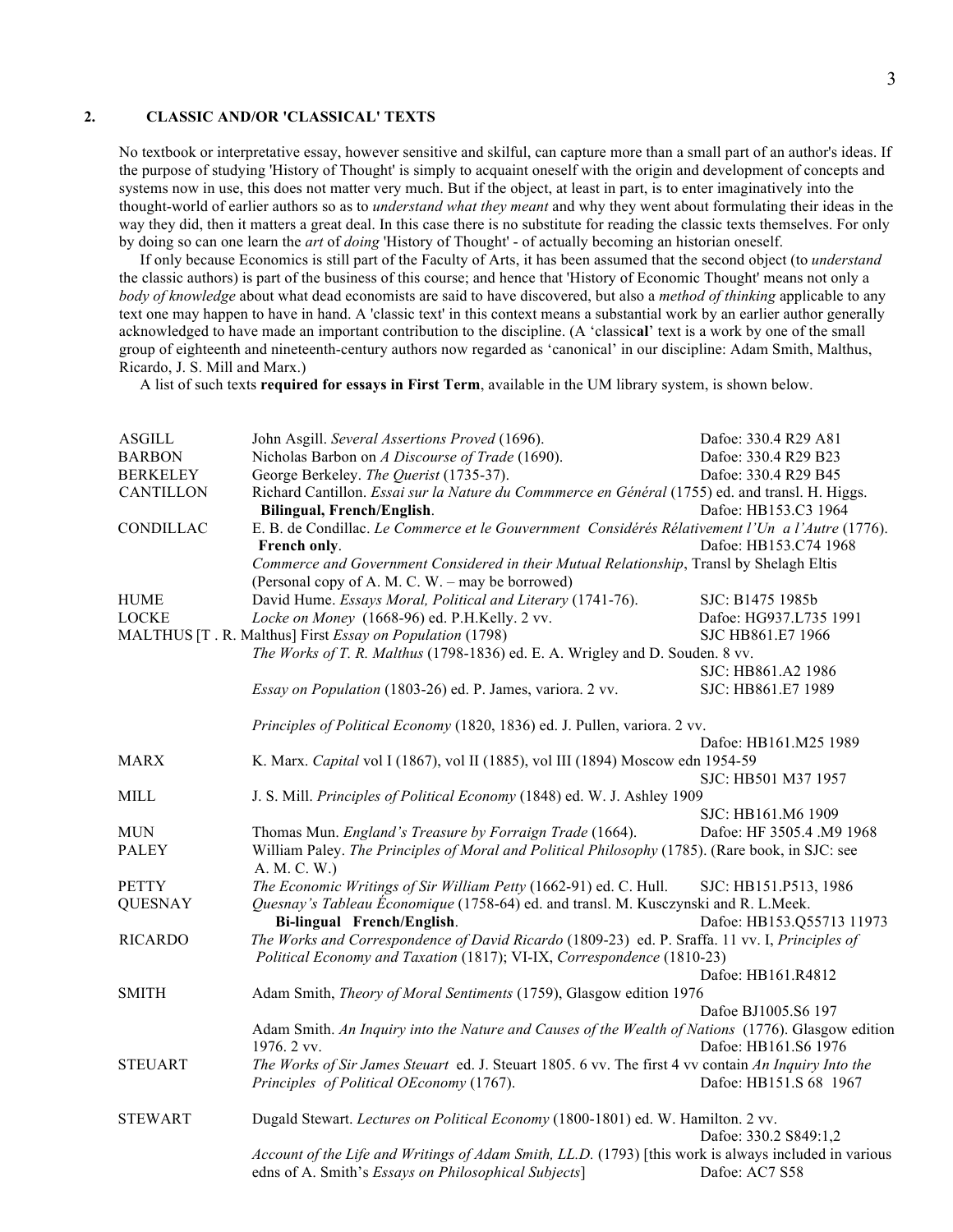#### **2. CLASSIC AND/OR 'CLASSICAL' TEXTS**

No textbook or interpretative essay, however sensitive and skilful, can capture more than a small part of an author's ideas. If the purpose of studying 'History of Thought' is simply to acquaint oneself with the origin and development of concepts and systems now in use, this does not matter very much. But if the object, at least in part, is to enter imaginatively into the thought-world of earlier authors so as to *understand what they meant* and why they went about formulating their ideas in the way they did, then it matters a great deal. In this case there is no substitute for reading the classic texts themselves. For only by doing so can one learn the *art* of *doing* 'History of Thought' - of actually becoming an historian oneself.

If only because Economics is still part of the Faculty of Arts, it has been assumed that the second object (to *understand*  the classic authors) is part of the business of this course; and hence that 'History of Economic Thought' means not only a *body of knowledge* about what dead economists are said to have discovered, but also a *method of thinking* applicable to any text one may happen to have in hand. A 'classic text' in this context means a substantial work by an earlier author generally acknowledged to have made an important contribution to the discipline. (A 'classic**al**' text is a work by one of the small group of eighteenth and nineteenth-century authors now regarded as 'canonical' in our discipline: Adam Smith, Malthus, Ricardo, J. S. Mill and Marx.)

A list of such texts **required for essays in First Term**, available in the UM library system, is shown below.

| <b>ASGILL</b>    | John Asgill. Several Assertions Proved (1696).                                                                   | Dafoe: 330.4 R29 A81      |  |  |
|------------------|------------------------------------------------------------------------------------------------------------------|---------------------------|--|--|
| <b>BARBON</b>    | Nicholas Barbon on A Discourse of Trade (1690).                                                                  | Dafoe: 330.4 R29 B23      |  |  |
| <b>BERKELEY</b>  | George Berkeley. The Querist (1735-37).                                                                          | Dafoe: 330.4 R29 B45      |  |  |
| <b>CANTILLON</b> | Richard Cantillon. Essai sur la Nature du Commmerce en Général (1755) ed. and transl. H. Higgs.                  |                           |  |  |
|                  | Bilingual, French/English.                                                                                       | Dafoe: HB153.C3 1964      |  |  |
| CONDILLAC        | E. B. de Condillac. Le Commerce et le Gouvernment Considérés Rélativement l'Un a l'Autre (1776).                 |                           |  |  |
|                  | French only.                                                                                                     | Dafoe: HB153.C74 1968     |  |  |
|                  | Commerce and Government Considered in their Mutual Relationship, Transl by Shelagh Eltis                         |                           |  |  |
|                  | (Personal copy of A. M. C. W. – may be borrowed)                                                                 |                           |  |  |
| <b>HUME</b>      | David Hume. Essays Moral, Political and Literary (1741-76).                                                      | SJC: B1475 1985b          |  |  |
| <b>LOCKE</b>     | Locke on Money (1668-96) ed. P.H.Kelly. 2 vv.                                                                    | Dafoe: HG937.L735 1991    |  |  |
|                  | MALTHUS [T. R. Malthus] First Essay on Population (1798)                                                         | SJC HB861.E7 1966         |  |  |
|                  | The Works of T. R. Malthus (1798-1836) ed. E. A. Wrigley and D. Souden. 8 vv.                                    |                           |  |  |
|                  |                                                                                                                  | SJC: HB861.A2 1986        |  |  |
|                  | Essay on Population (1803-26) ed. P. James, variora. 2 vv.                                                       | SJC: HB861.E7 1989        |  |  |
|                  |                                                                                                                  |                           |  |  |
|                  | Principles of Political Economy (1820, 1836) ed. J. Pullen, variora. 2 vv.                                       |                           |  |  |
|                  |                                                                                                                  | Dafoe: HB161.M25 1989     |  |  |
| <b>MARX</b>      | K. Marx. Capital vol I (1867), vol II (1885), vol III (1894) Moscow edn 1954-59                                  |                           |  |  |
|                  |                                                                                                                  | SJC: HB501 M37 1957       |  |  |
| <b>MILL</b>      | J. S. Mill. Principles of Political Economy (1848) ed. W. J. Ashley 1909                                         |                           |  |  |
|                  |                                                                                                                  | SJC: HB161.M6 1909        |  |  |
| <b>MUN</b>       | Thomas Mun. England's Treasure by Forraign Trade (1664).                                                         | Dafoe: HF 3505.4 .M9 1968 |  |  |
| <b>PALEY</b>     | William Paley. The Principles of Moral and Political Philosophy (1785). (Rare book, in SJC: see                  |                           |  |  |
|                  | A. M. C. W.)                                                                                                     |                           |  |  |
| <b>PETTY</b>     | The Economic Writings of Sir William Petty (1662-91) ed. C. Hull.                                                | SJC: HB151.P513, 1986     |  |  |
| <b>QUESNAY</b>   | Quesnay's Tableau Economique (1758-64) ed. and transl. M. Kusczynski and R. L.Meek.                              |                           |  |  |
|                  | Bi-lingual French/English.                                                                                       | Dafoe: HB153.Q55713 11973 |  |  |
|                  | The Works and Correspondence of David Ricardo (1809-23) ed. P. Sraffa. 11 vv. I, Principles of<br><b>RICARDO</b> |                           |  |  |
|                  | Political Economy and Taxation (1817); VI-IX, Correspondence (1810-23)                                           |                           |  |  |
|                  |                                                                                                                  | Dafoe: HB161.R4812        |  |  |
| <b>SMITH</b>     | Adam Smith, Theory of Moral Sentiments (1759), Glasgow edition 1976                                              |                           |  |  |
|                  |                                                                                                                  | Dafoe BJ1005.S6 197       |  |  |
|                  | Adam Smith. An Inquiry into the Nature and Causes of the Wealth of Nations (1776). Glasgow edition               |                           |  |  |
|                  | 1976. 2 vv.                                                                                                      | Dafoe: HB161.S6 1976      |  |  |
| <b>STEUART</b>   | The Works of Sir James Steuart ed. J. Steuart 1805. 6 vv. The first 4 vv contain An Inquiry Into the             |                           |  |  |
|                  | Principles of Political OEconomy (1767).                                                                         | Dafoe: HB151.S 68 1967    |  |  |
|                  |                                                                                                                  |                           |  |  |
| <b>STEWART</b>   | Dugald Stewart. Lectures on Political Economy (1800-1801) ed. W. Hamilton. 2 vv.                                 |                           |  |  |
|                  |                                                                                                                  | Dafoe: 330.2 S849:1,2     |  |  |
|                  | Account of the Life and Writings of Adam Smith, LL.D. (1793) [this work is always included in various            |                           |  |  |
|                  | edns of A. Smith's Essays on Philosophical Subjects]                                                             | Dafoe: AC7 S58            |  |  |